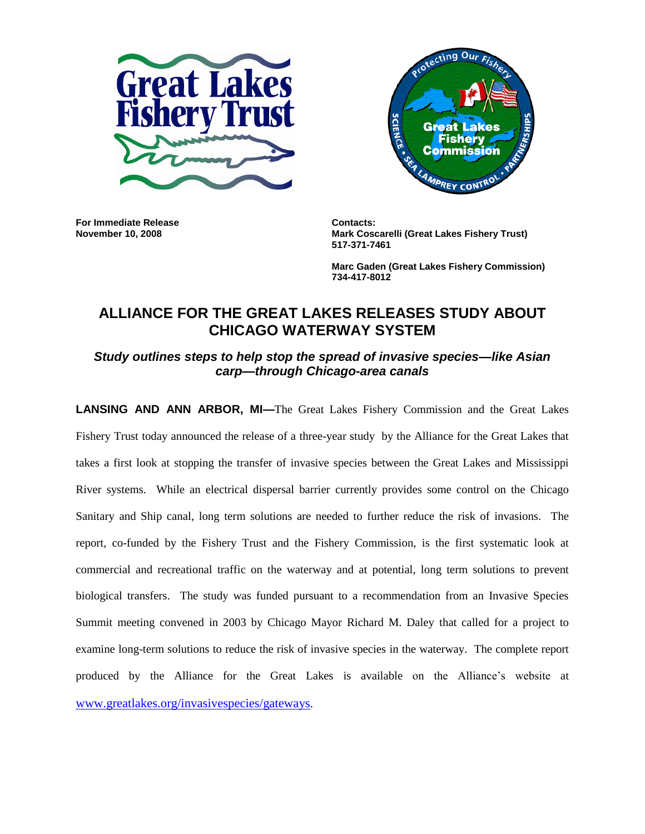



**For Immediate Release Contacts:** 

**November 10, 2008 Mark Coscarelli (Great Lakes Fishery Trust) 517-371-7461**

> **Marc Gaden (Great Lakes Fishery Commission) 734-417-8012**

## **ALLIANCE FOR THE GREAT LAKES RELEASES STUDY ABOUT CHICAGO WATERWAY SYSTEM**

*Study outlines steps to help stop the spread of invasive species—like Asian carp—through Chicago-area canals*

**LANSING AND ANN ARBOR, MI—**The Great Lakes Fishery Commission and the Great Lakes Fishery Trust today announced the release of a three-year study by the Alliance for the Great Lakes that takes a first look at stopping the transfer of invasive species between the Great Lakes and Mississippi River systems. While an electrical dispersal barrier currently provides some control on the Chicago Sanitary and Ship canal, long term solutions are needed to further reduce the risk of invasions. The report, co-funded by the Fishery Trust and the Fishery Commission, is the first systematic look at commercial and recreational traffic on the waterway and at potential, long term solutions to prevent biological transfers. The study was funded pursuant to a recommendation from an Invasive Species Summit meeting convened in 2003 by Chicago Mayor Richard M. Daley that called for a project to examine long-term solutions to reduce the risk of invasive species in the waterway. The complete report produced by the Alliance for the Great Lakes is available on the Alliance's website at [www.greatlakes.org/invasivespecies/gateways](http://www.greatlakes.org/invasivespecies/gateways).